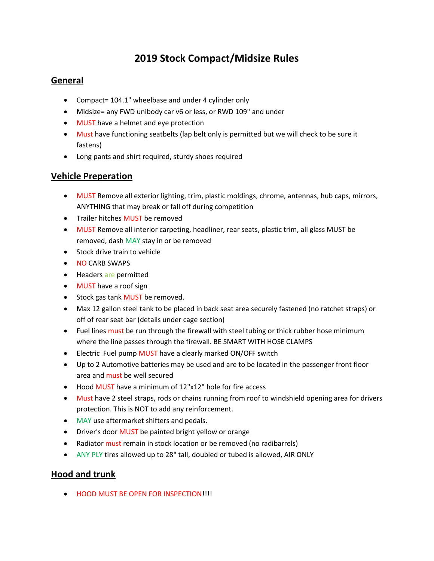# 2019 Stock Compact/Midsize Rules

# General

- Compact= 104.1" wheelbase and under 4 cylinder only
- Midsize= any FWD unibody car v6 or less, or RWD 109" and under
- MUST have a helmet and eye protection
- Must have functioning seatbelts (lap belt only is permitted but we will check to be sure it fastens)
- Long pants and shirt required, sturdy shoes required

## Vehicle Preperation

- MUST Remove all exterior lighting, trim, plastic moldings, chrome, antennas, hub caps, mirrors, ANYTHING that may break or fall off during competition
- Trailer hitches MUST be removed
- MUST Remove all interior carpeting, headliner, rear seats, plastic trim, all glass MUST be removed, dash MAY stay in or be removed
- Stock drive train to vehicle
- NO CARB SWAPS
- Headers are permitted
- MUST have a roof sign
- Stock gas tank MUST be removed.
- Max 12 gallon steel tank to be placed in back seat area securely fastened (no ratchet straps) or off of rear seat bar (details under cage section)
- Fuel lines must be run through the firewall with steel tubing or thick rubber hose minimum where the line passes through the firewall. BE SMART WITH HOSE CLAMPS
- **Electric Fuel pump MUST have a clearly marked ON/OFF switch**
- Up to 2 Automotive batteries may be used and are to be located in the passenger front floor area and must be well secured
- Hood MUST have a minimum of 12"x12" hole for fire access
- Must have 2 steel straps, rods or chains running from roof to windshield opening area for drivers protection. This is NOT to add any reinforcement.
- MAY use aftermarket shifters and pedals.
- Driver's door MUST be painted bright yellow or orange
- Radiator must remain in stock location or be removed (no radibarrels)
- ANY PLY tires allowed up to 28" tall, doubled or tubed is allowed, AIR ONLY

## Hood and trunk

**• HOOD MUST BE OPEN FOR INSPECTION!!!!**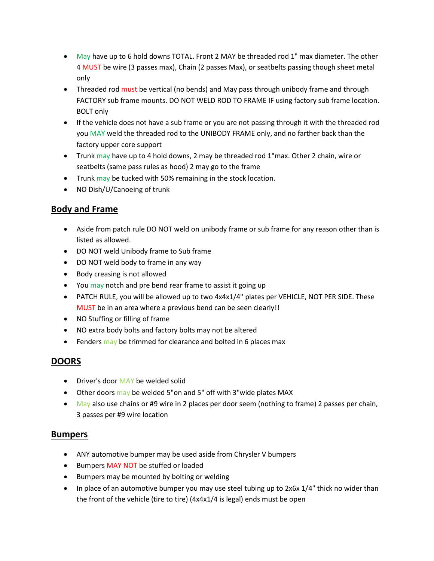- May have up to 6 hold downs TOTAL. Front 2 MAY be threaded rod 1" max diameter. The other 4 MUST be wire (3 passes max), Chain (2 passes Max), or seatbelts passing though sheet metal only
- Threaded rod must be vertical (no bends) and May pass through unibody frame and through FACTORY sub frame mounts. DO NOT WELD ROD TO FRAME IF using factory sub frame location. BOLT only
- If the vehicle does not have a sub frame or you are not passing through it with the threaded rod you MAY weld the threaded rod to the UNIBODY FRAME only, and no farther back than the factory upper core support
- Trunk may have up to 4 hold downs, 2 may be threaded rod 1"max. Other 2 chain, wire or seatbelts (same pass rules as hood) 2 may go to the frame
- Trunk may be tucked with 50% remaining in the stock location.
- NO Dish/U/Canoeing of trunk

# Body and Frame

- Aside from patch rule DO NOT weld on unibody frame or sub frame for any reason other than is listed as allowed.
- DO NOT weld Unibody frame to Sub frame
- DO NOT weld body to frame in any way
- Body creasing is not allowed
- You may notch and pre bend rear frame to assist it going up
- PATCH RULE, you will be allowed up to two 4x4x1/4" plates per VEHICLE, NOT PER SIDE. These MUST be in an area where a previous bend can be seen clearly!!
- NO Stuffing or filling of frame
- NO extra body bolts and factory bolts may not be altered
- Fenders may be trimmed for clearance and bolted in 6 places max

## DOORS

- Driver's door MAY be welded solid
- Other doors may be welded 5"on and 5" off with 3"wide plates MAX
- $\blacksquare$  May also use chains or #9 wire in 2 places per door seem (nothing to frame) 2 passes per chain, 3 passes per #9 wire location

#### Bumpers

- ANY automotive bumper may be used aside from Chrysler V bumpers
- **•** Bumpers MAY NOT be stuffed or loaded
- Bumpers may be mounted by bolting or welding
- In place of an automotive bumper you may use steel tubing up to  $2x6x$  1/4" thick no wider than the front of the vehicle (tire to tire) (4x4x1/4 is legal) ends must be open